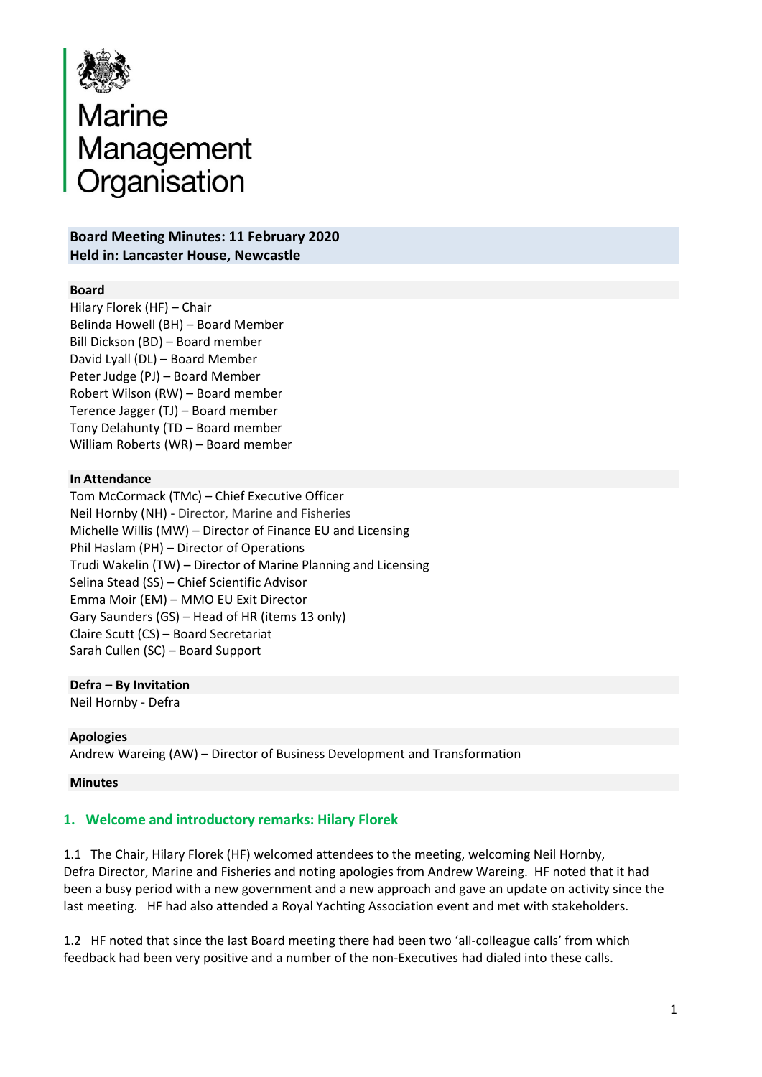

# Marine<br>Management<br>Organisation Organisation

## **Board Meeting Minutes: 11 February 2020 Held in: Lancaster House, Newcastle**

## **Board**

Hilary Florek (HF) – Chair Belinda Howell (BH) – Board Member Bill Dickson (BD) – Board member David Lyall (DL) – Board Member Peter Judge (PJ) – Board Member Robert Wilson (RW) – Board member Terence Jagger (TJ) – Board member Tony Delahunty (TD – Board member William Roberts (WR) – Board member

#### **In Attendance**

Tom McCormack (TMc) – Chief Executive Officer Neil Hornby (NH) - Director, Marine and Fisheries Michelle Willis (MW) – Director of Finance EU and Licensing Phil Haslam (PH) – Director of Operations Trudi Wakelin (TW) – Director of Marine Planning and Licensing Selina Stead (SS) – Chief Scientific Advisor Emma Moir (EM) – MMO EU Exit Director Gary Saunders (GS) – Head of HR (items 13 only) Claire Scutt (CS) – Board Secretariat Sarah Cullen (SC) – Board Support

## **Defra – By Invitation**

Neil Hornby - Defra

## **Apologies**

Andrew Wareing (AW) – Director of Business Development and Transformation

## **Minutes**

## **1. Welcome and introductory remarks: Hilary Florek**

1.1 The Chair, Hilary Florek (HF) welcomed attendees to the meeting, welcoming Neil Hornby, Defra Director, Marine and Fisheries and noting apologies from Andrew Wareing. HF noted that it had been a busy period with a new government and a new approach and gave an update on activity since the last meeting. HF had also attended a Royal Yachting Association event and met with stakeholders.

1.2 HF noted that since the last Board meeting there had been two 'all-colleague calls' from which feedback had been very positive and a number of the non-Executives had dialed into these calls.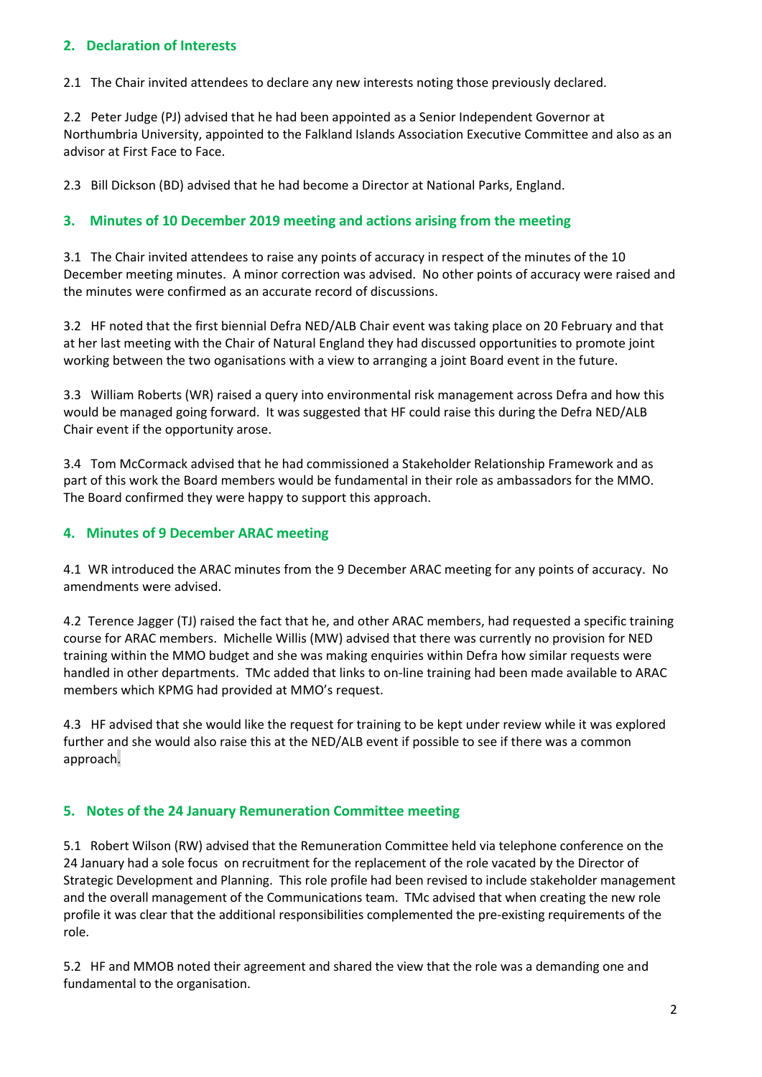## **2. Declaration of Interests**

2.1 The Chair invited attendees to declare any new interests noting those previously declared.

2.2 Peter Judge (PJ) advised that he had been appointed as a Senior Independent Governor at Northumbria University, appointed to the Falkland Islands Association Executive Committee and also as an advisor at First Face to Face.

2.3 Bill Dickson (BD) advised that he had become a Director at National Parks, England.

## **3. Minutes of 10 December 2019 meeting and actions arising from the meeting**

3.1 The Chair invited attendees to raise any points of accuracy in respect of the minutes of the 10 December meeting minutes. A minor correction was advised. No other points of accuracy were raised and the minutes were confirmed as an accurate record of discussions.

3.2 HF noted that the first biennial Defra NED/ALB Chair event was taking place on 20 February and that at her last meeting with the Chair of Natural England they had discussed opportunities to promote joint working between the two oganisations with a view to arranging a joint Board event in the future.

3.3 William Roberts (WR) raised a query into environmental risk management across Defra and how this would be managed going forward. It was suggested that HF could raise this during the Defra NED/ALB Chair event if the opportunity arose.

3.4 Tom McCormack advised that he had commissioned a Stakeholder Relationship Framework and as part of this work the Board members would be fundamental in their role as ambassadors for the MMO. The Board confirmed they were happy to support this approach.

## **4. Minutes of 9 December ARAC meeting**

4.1 WR introduced the ARAC minutes from the 9 December ARAC meeting for any points of accuracy. No amendments were advised.

4.2 Terence Jagger (TJ) raised the fact that he, and other ARAC members, had requested a specific training course for ARAC members. Michelle Willis (MW) advised that there was currently no provision for NED training within the MMO budget and she was making enquiries within Defra how similar requests were handled in other departments. TMc added that links to on-line training had been made available to ARAC members which KPMG had provided at MMO's request.

4.3 HF advised that she would like the request for training to be kept under review while it was explored further and she would also raise this at the NED/ALB event if possible to see if there was a common approach.

## **5. Notes of the 24 January Remuneration Committee meeting**

5.1 Robert Wilson (RW) advised that the Remuneration Committee held via telephone conference on the 24 January had a sole focus on recruitment for the replacement of the role vacated by the Director of Strategic Development and Planning. This role profile had been revised to include stakeholder management and the overall management of the Communications team. TMc advised that when creating the new role profile it was clear that the additional responsibilities complemented the pre-existing requirements of the role.

5.2 HF and MMOB noted their agreement and shared the view that the role was a demanding one and fundamental to the organisation.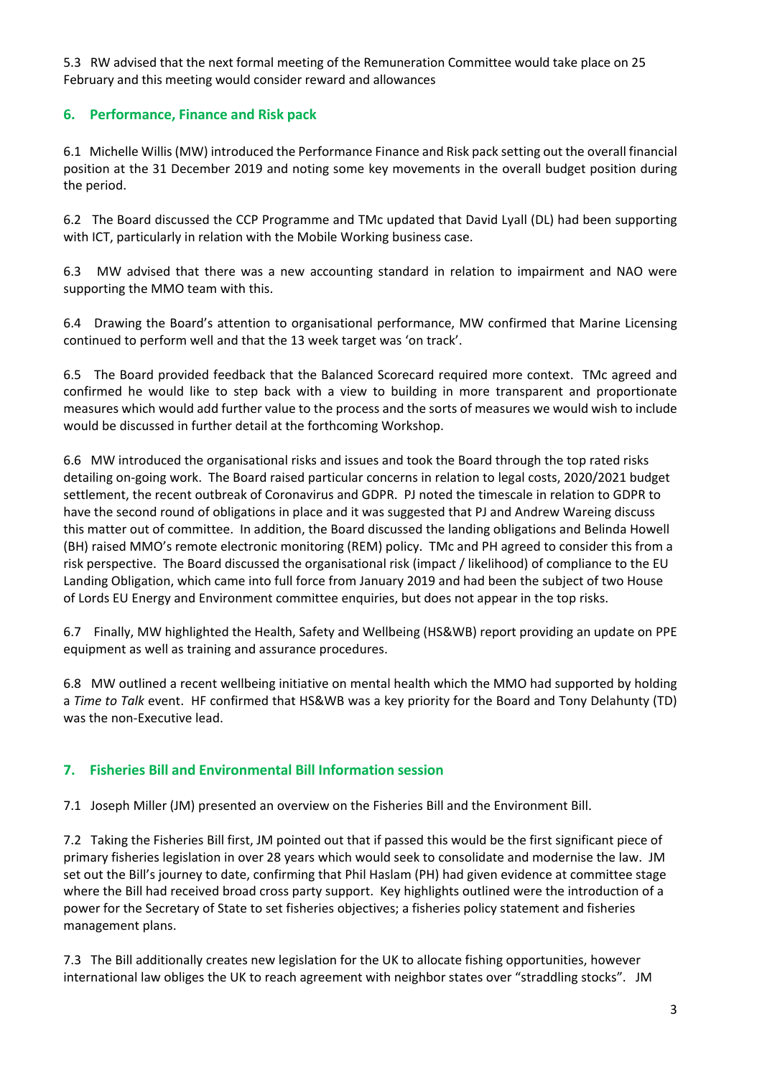5.3 RW advised that the next formal meeting of the Remuneration Committee would take place on 25 February and this meeting would consider reward and allowances

## **6. Performance, Finance and Risk pack**

6.1 Michelle Willis(MW) introduced the Performance Finance and Risk pack setting out the overall financial position at the 31 December 2019 and noting some key movements in the overall budget position during the period.

6.2 The Board discussed the CCP Programme and TMc updated that David Lyall (DL) had been supporting with ICT, particularly in relation with the Mobile Working business case.

6.3 MW advised that there was a new accounting standard in relation to impairment and NAO were supporting the MMO team with this.

6.4 Drawing the Board's attention to organisational performance, MW confirmed that Marine Licensing continued to perform well and that the 13 week target was 'on track'.

6.5 The Board provided feedback that the Balanced Scorecard required more context. TMc agreed and confirmed he would like to step back with a view to building in more transparent and proportionate measures which would add further value to the process and the sorts of measures we would wish to include would be discussed in further detail at the forthcoming Workshop.

6.6 MW introduced the organisational risks and issues and took the Board through the top rated risks detailing on-going work. The Board raised particular concerns in relation to legal costs, 2020/2021 budget settlement, the recent outbreak of Coronavirus and GDPR. PJ noted the timescale in relation to GDPR to have the second round of obligations in place and it was suggested that PJ and Andrew Wareing discuss this matter out of committee. In addition, the Board discussed the landing obligations and Belinda Howell (BH) raised MMO's remote electronic monitoring (REM) policy. TMc and PH agreed to consider this from a risk perspective. The Board discussed the organisational risk (impact / likelihood) of compliance to the EU Landing Obligation, which came into full force from January 2019 and had been the subject of two House of Lords EU Energy and Environment committee enquiries, but does not appear in the top risks.

6.7 Finally, MW highlighted the Health, Safety and Wellbeing (HS&WB) report providing an update on PPE equipment as well as training and assurance procedures.

6.8 MW outlined a recent wellbeing initiative on mental health which the MMO had supported by holding a *Time to Talk* event. HF confirmed that HS&WB was a key priority for the Board and Tony Delahunty (TD) was the non-Executive lead.

## **7. Fisheries Bill and Environmental Bill Information session**

7.1 Joseph Miller (JM) presented an overview on the Fisheries Bill and the Environment Bill.

7.2 Taking the Fisheries Bill first, JM pointed out that if passed this would be the first significant piece of primary fisheries legislation in over 28 years which would seek to consolidate and modernise the law. JM set out the Bill's journey to date, confirming that Phil Haslam (PH) had given evidence at committee stage where the Bill had received broad cross party support. Key highlights outlined were the introduction of a power for the Secretary of State to set fisheries objectives; a fisheries policy statement and fisheries management plans.

7.3 The Bill additionally creates new legislation for the UK to allocate fishing opportunities, however international law obliges the UK to reach agreement with neighbor states over "straddling stocks". JM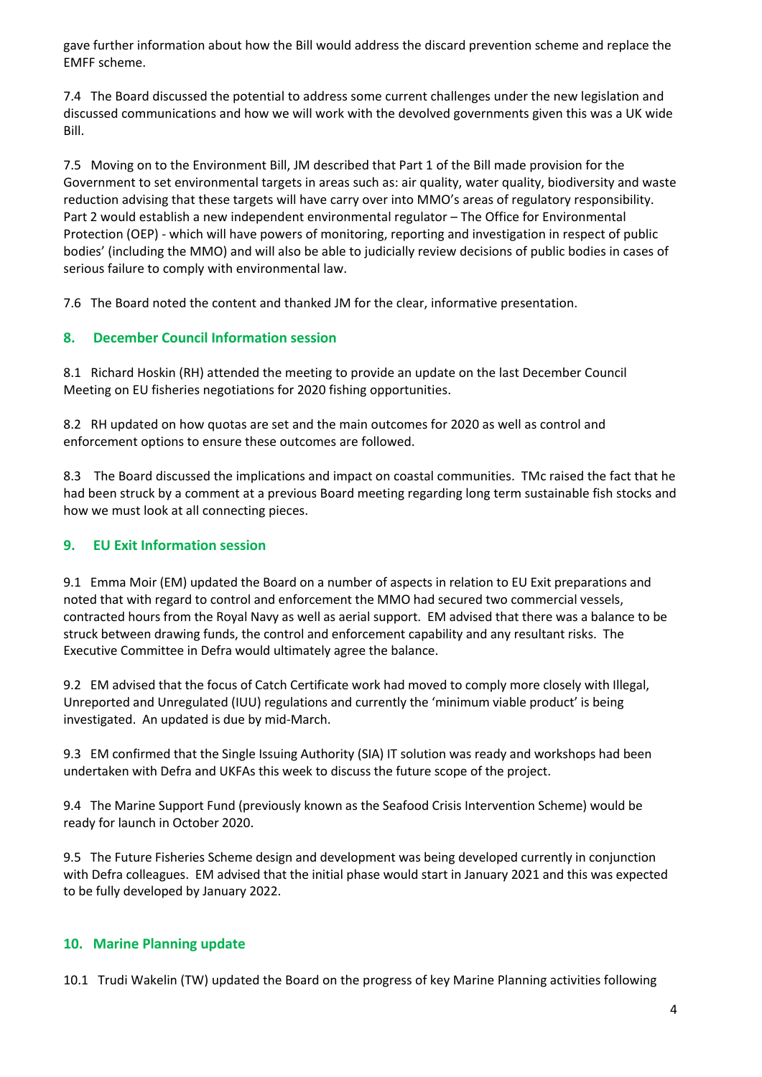gave further information about how the Bill would address the discard prevention scheme and replace the EMFF scheme.

7.4 The Board discussed the potential to address some current challenges under the new legislation and discussed communications and how we will work with the devolved governments given this was a UK wide Bill.

7.5 Moving on to the Environment Bill, JM described that Part 1 of the Bill made provision for the Government to set environmental targets in areas such as: air quality, water quality, biodiversity and waste reduction advising that these targets will have carry over into MMO's areas of regulatory responsibility. Part 2 would establish a new independent environmental regulator – The Office for Environmental Protection (OEP) - which will have powers of monitoring, reporting and investigation in respect of public bodies' (including the MMO) and will also be able to judicially review decisions of public bodies in cases of serious failure to comply with environmental law.

7.6 The Board noted the content and thanked JM for the clear, informative presentation.

# **8. December Council Information session**

8.1 Richard Hoskin (RH) attended the meeting to provide an update on the last December Council Meeting on EU fisheries negotiations for 2020 fishing opportunities.

8.2 RH updated on how quotas are set and the main outcomes for 2020 as well as control and enforcement options to ensure these outcomes are followed.

8.3 The Board discussed the implications and impact on coastal communities. TMc raised the fact that he had been struck by a comment at a previous Board meeting regarding long term sustainable fish stocks and how we must look at all connecting pieces.

## **9. EU Exit Information session**

9.1 Emma Moir (EM) updated the Board on a number of aspects in relation to EU Exit preparations and noted that with regard to control and enforcement the MMO had secured two commercial vessels, contracted hours from the Royal Navy as well as aerial support. EM advised that there was a balance to be struck between drawing funds, the control and enforcement capability and any resultant risks. The Executive Committee in Defra would ultimately agree the balance.

9.2 EM advised that the focus of Catch Certificate work had moved to comply more closely with Illegal, Unreported and Unregulated (IUU) regulations and currently the 'minimum viable product' is being investigated. An updated is due by mid-March.

9.3 EM confirmed that the Single Issuing Authority (SIA) IT solution was ready and workshops had been undertaken with Defra and UKFAs this week to discuss the future scope of the project.

9.4 The Marine Support Fund (previously known as the Seafood Crisis Intervention Scheme) would be ready for launch in October 2020.

9.5 The Future Fisheries Scheme design and development was being developed currently in conjunction with Defra colleagues. EM advised that the initial phase would start in January 2021 and this was expected to be fully developed by January 2022.

## **10. Marine Planning update**

10.1 Trudi Wakelin (TW) updated the Board on the progress of key Marine Planning activities following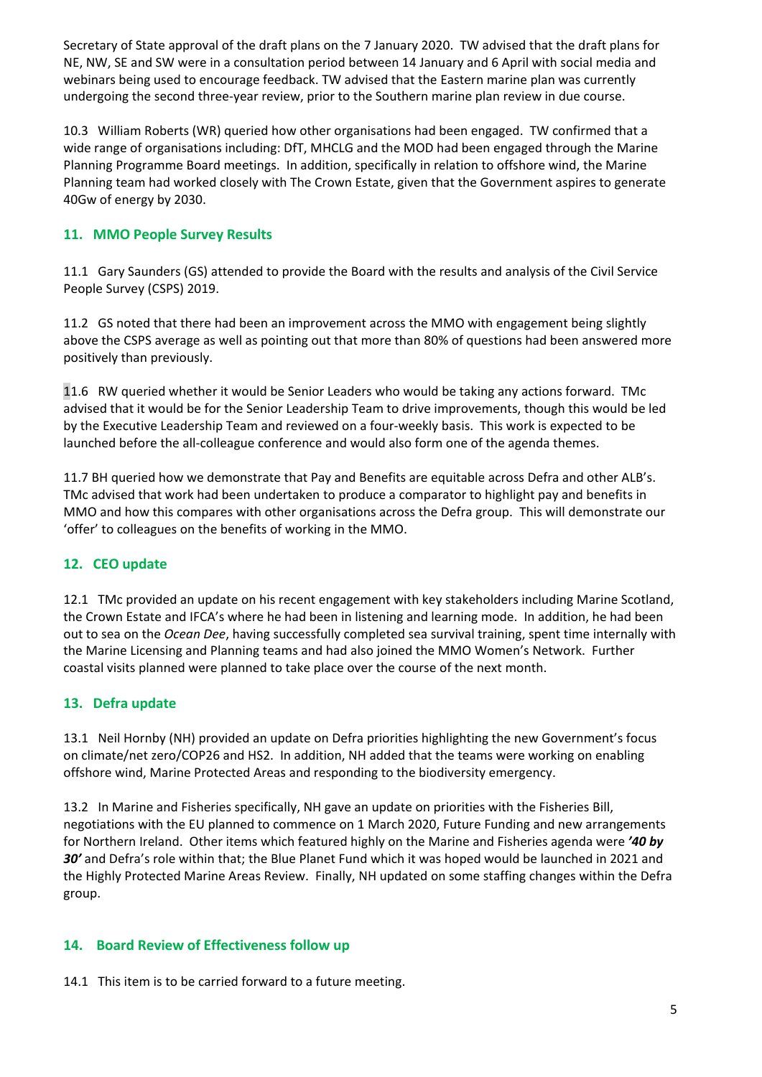Secretary of State approval of the draft plans on the 7 January 2020. TW advised that the draft plans for NE, NW, SE and SW were in a consultation period between 14 January and 6 April with social media and webinars being used to encourage feedback. TW advised that the Eastern marine plan was currently undergoing the second three-year review, prior to the Southern marine plan review in due course.

10.3 William Roberts (WR) queried how other organisations had been engaged. TW confirmed that a wide range of organisations including: DfT, MHCLG and the MOD had been engaged through the Marine Planning Programme Board meetings. In addition, specifically in relation to offshore wind, the Marine Planning team had worked closely with The Crown Estate, given that the Government aspires to generate 40Gw of energy by 2030.

# **11. MMO People Survey Results**

11.1 Gary Saunders (GS) attended to provide the Board with the results and analysis of the Civil Service People Survey (CSPS) 2019.

11.2 GS noted that there had been an improvement across the MMO with engagement being slightly above the CSPS average as well as pointing out that more than 80% of questions had been answered more positively than previously.

11.6 RW queried whether it would be Senior Leaders who would be taking any actions forward. TMc advised that it would be for the Senior Leadership Team to drive improvements, though this would be led by the Executive Leadership Team and reviewed on a four-weekly basis. This work is expected to be launched before the all-colleague conference and would also form one of the agenda themes.

11.7 BH queried how we demonstrate that Pay and Benefits are equitable across Defra and other ALB's. TMc advised that work had been undertaken to produce a comparator to highlight pay and benefits in MMO and how this compares with other organisations across the Defra group. This will demonstrate our 'offer' to colleagues on the benefits of working in the MMO.

# **12. CEO update**

12.1 TMc provided an update on his recent engagement with key stakeholders including Marine Scotland, the Crown Estate and IFCA's where he had been in listening and learning mode. In addition, he had been out to sea on the *Ocean Dee*, having successfully completed sea survival training, spent time internally with the Marine Licensing and Planning teams and had also joined the MMO Women's Network. Further coastal visits planned were planned to take place over the course of the next month.

# **13. Defra update**

13.1 Neil Hornby (NH) provided an update on Defra priorities highlighting the new Government's focus on climate/net zero/COP26 and HS2. In addition, NH added that the teams were working on enabling offshore wind, Marine Protected Areas and responding to the biodiversity emergency.

13.2 In Marine and Fisheries specifically, NH gave an update on priorities with the Fisheries Bill, negotiations with the EU planned to commence on 1 March 2020, Future Funding and new arrangements for Northern Ireland. Other items which featured highly on the Marine and Fisheries agenda were *'40 by 30'* and Defra's role within that; the Blue Planet Fund which it was hoped would be launched in 2021 and the Highly Protected Marine Areas Review. Finally, NH updated on some staffing changes within the Defra group.

## **14. Board Review of Effectiveness follow up**

14.1 This item is to be carried forward to a future meeting.